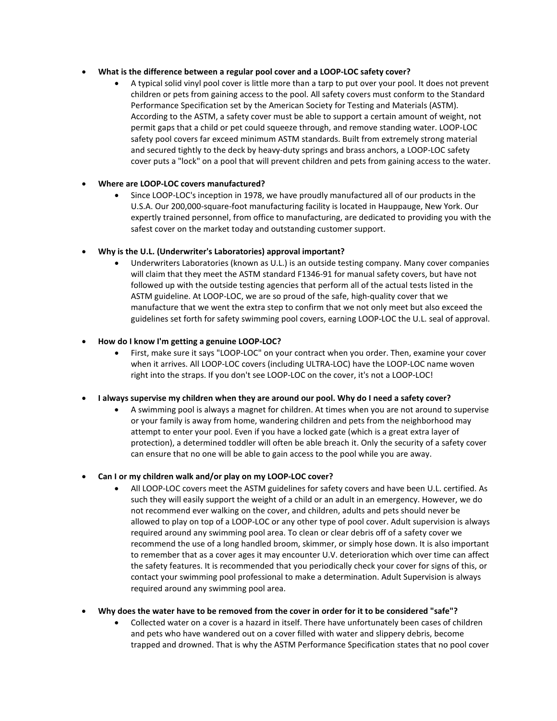### • **What is the difference between a regular pool cover and a LOOP-LOC safety cover?**

• A typical solid vinyl pool cover is little more than a tarp to put over your pool. It does not prevent children or pets from gaining access to the pool. All safety covers must conform to the Standard Performance Specification set by the American Society for Testing and Materials (ASTM). According to the ASTM, a safety cover must be able to support a certain amount of weight, not permit gaps that a child or pet could squeeze through, and remove standing water. LOOP-LOC safety pool covers far exceed minimum ASTM standards. Built from extremely strong material and secured tightly to the deck by heavy-duty springs and brass anchors, a LOOP-LOC safety cover puts a "lock" on a pool that will prevent children and pets from gaining access to the water.

# • **Where are LOOP-LOC covers manufactured?**

• Since LOOP-LOC's inception in 1978, we have proudly manufactured all of our products in the U.S.A. Our 200,000-square-foot manufacturing facility is located in Hauppauge, New York. Our expertly trained personnel, from office to manufacturing, are dedicated to providing you with the safest cover on the market today and outstanding customer support.

# • **Why is the U.L. (Underwriter's Laboratories) approval important?**

• Underwriters Laboratories (known as U.L.) is an outside testing company. Many cover companies will claim that they meet the ASTM standard F1346-91 for manual safety covers, but have not followed up with the outside testing agencies that perform all of the actual tests listed in the ASTM guideline. At LOOP-LOC, we are so proud of the safe, high-quality cover that we manufacture that we went the extra step to confirm that we not only meet but also exceed the guidelines set forth for safety swimming pool covers, earning LOOP-LOC the U.L. seal of approval.

### • **How do I know I'm getting a genuine LOOP-LOC?**

• First, make sure it says "LOOP-LOC" on your contract when you order. Then, examine your cover when it arrives. All LOOP-LOC covers (including ULTRA-LOC) have the LOOP-LOC name woven right into the straps. If you don't see LOOP-LOC on the cover, it's not a LOOP-LOC!

# • **I always supervise my children when they are around our pool. Why do I need a safety cover?**

• A swimming pool is always a magnet for children. At times when you are not around to supervise or your family is away from home, wandering children and pets from the neighborhood may attempt to enter your pool. Even if you have a locked gate (which is a great extra layer of protection), a determined toddler will often be able breach it. Only the security of a safety cover can ensure that no one will be able to gain access to the pool while you are away.

### • **Can I or my children walk and/or play on my LOOP-LOC cover?**

• All LOOP-LOC covers meet the ASTM guidelines for safety covers and have been U.L. certified. As such they will easily support the weight of a child or an adult in an emergency. However, we do not recommend ever walking on the cover, and children, adults and pets should never be allowed to play on top of a LOOP-LOC or any other type of pool cover. Adult supervision is always required around any swimming pool area. To clean or clear debris off of a safety cover we recommend the use of a long handled broom, skimmer, or simply hose down. It is also important to remember that as a cover ages it may encounter U.V. deterioration which over time can affect the safety features. It is recommended that you periodically check your cover for signs of this, or contact your swimming pool professional to make a determination. Adult Supervision is always required around any swimming pool area.

# • **Why does the water have to be removed from the cover in order for it to be considered "safe"?**

• Collected water on a cover is a hazard in itself. There have unfortunately been cases of children and pets who have wandered out on a cover filled with water and slippery debris, become trapped and drowned. That is why the ASTM Performance Specification states that no pool cover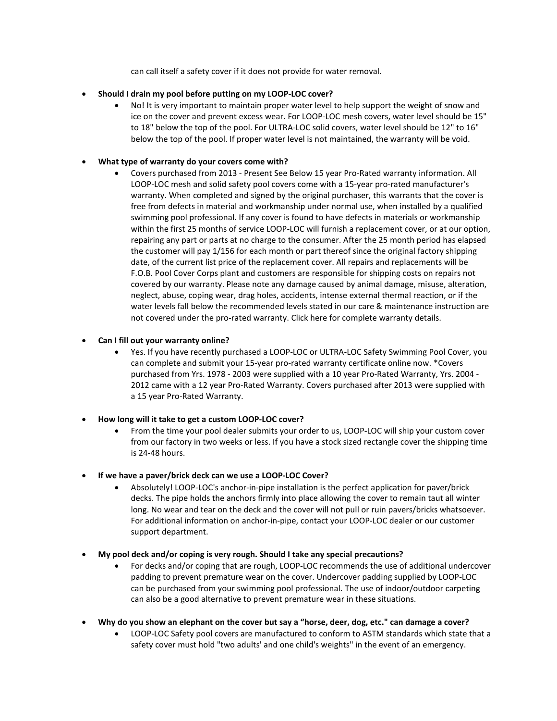can call itself a safety cover if it does not provide for water removal.

### • **Should I drain my pool before putting on my LOOP-LOC cover?**

• No! It is very important to maintain proper water level to help support the weight of snow and ice on the cover and prevent excess wear. For LOOP-LOC mesh covers, water level should be 15" to 18" below the top of the pool. For ULTRA-LOC solid covers, water level should be 12" to 16" below the top of the pool. If proper water level is not maintained, the warranty will be void.

### • **What type of warranty do your covers come with?**

• Covers purchased from 2013 - Present See Below 15 year Pro-Rated warranty information. All LOOP-LOC mesh and solid safety pool covers come with a 15-year pro-rated manufacturer's warranty. When completed and signed by the original purchaser, this warrants that the cover is free from defects in material and workmanship under normal use, when installed by a qualified swimming pool professional. If any cover is found to have defects in materials or workmanship within the first 25 months of service LOOP-LOC will furnish a replacement cover, or at our option, repairing any part or parts at no charge to the consumer. After the 25 month period has elapsed the customer will pay 1/156 for each month or part thereof since the original factory shipping date, of the current list price of the replacement cover. All repairs and replacements will be F.O.B. Pool Cover Corps plant and customers are responsible for shipping costs on repairs not covered by our warranty. Please note any damage caused by animal damage, misuse, alteration, neglect, abuse, coping wear, drag holes, accidents, intense external thermal reaction, or if the water levels fall below the recommended levels stated in our care & maintenance instruction are not covered under the pro-rated warranty. Click here for complete warranty details.

### • **Can I fill out your warranty online?**

- Yes. If you have recently purchased a LOOP-LOC or ULTRA-LOC Safety Swimming Pool Cover, you can complete and submit your 15-year pro-rated warranty certificate online now. \*Covers purchased from Yrs. 1978 - 2003 were supplied with a 10 year Pro-Rated Warranty, Yrs. 2004 - 2012 came with a 12 year Pro-Rated Warranty. Covers purchased after 2013 were supplied with a 15 year Pro-Rated Warranty.
- **How long will it take to get a custom LOOP-LOC cover?**
	- From the time your pool dealer submits your order to us, LOOP-LOC will ship your custom cover from our factory in two weeks or less. If you have a stock sized rectangle cover the shipping time is 24-48 hours.
- **If we have a paver/brick deck can we use a LOOP-LOC Cover?**
	- Absolutely! LOOP-LOC's anchor-in-pipe installation is the perfect application for paver/brick decks. The pipe holds the anchors firmly into place allowing the cover to remain taut all winter long. No wear and tear on the deck and the cover will not pull or ruin pavers/bricks whatsoever. For additional information on anchor-in-pipe, contact your LOOP-LOC dealer or our customer support department.
- **My pool deck and/or coping is very rough. Should I take any special precautions?**
	- For decks and/or coping that are rough, LOOP-LOC recommends the use of additional undercover padding to prevent premature wear on the cover. Undercover padding supplied by LOOP-LOC can be purchased from your swimming pool professional. The use of indoor/outdoor carpeting can also be a good alternative to prevent premature wear in these situations.
- **Why do you show an elephant on the cover but say a "horse, deer, dog, etc." can damage a cover?**
	- LOOP-LOC Safety pool covers are manufactured to conform to ASTM standards which state that a safety cover must hold "two adults' and one child's weights" in the event of an emergency.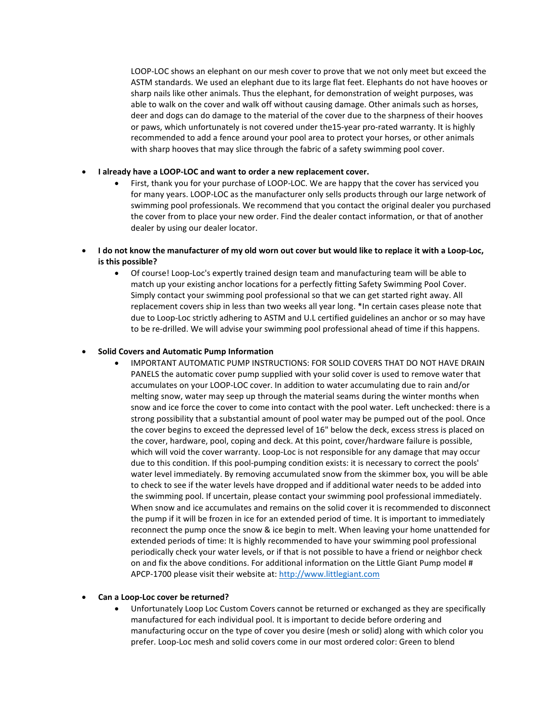LOOP-LOC shows an elephant on our mesh cover to prove that we not only meet but exceed the ASTM standards. We used an elephant due to its large flat feet. Elephants do not have hooves or sharp nails like other animals. Thus the elephant, for demonstration of weight purposes, was able to walk on the cover and walk off without causing damage. Other animals such as horses, deer and dogs can do damage to the material of the cover due to the sharpness of their hooves or paws, which unfortunately is not covered under the15-year pro-rated warranty. It is highly recommended to add a fence around your pool area to protect your horses, or other animals with sharp hooves that may slice through the fabric of a safety swimming pool cover.

#### • **I already have a LOOP-LOC and want to order a new replacement cover.**

- First, thank you for your purchase of LOOP-LOC. We are happy that the cover has serviced you for many years. LOOP-LOC as the manufacturer only sells products through our large network of swimming pool professionals. We recommend that you contact the original dealer you purchased the cover from to place your new order. Find the dealer contact information, or that of another dealer by using our dealer locator.
- **I do not know the manufacturer of my old worn out cover but would like to replace it with a Loop-Loc, is this possible?**
	- Of course! Loop-Loc's expertly trained design team and manufacturing team will be able to match up your existing anchor locations for a perfectly fitting Safety Swimming Pool Cover. Simply contact your swimming pool professional so that we can get started right away. All replacement covers ship in less than two weeks all year long. \*In certain cases please note that due to Loop-Loc strictly adhering to ASTM and U.L certified guidelines an anchor or so may have to be re-drilled. We will advise your swimming pool professional ahead of time if this happens.

#### • **Solid Covers and Automatic Pump Information**

• IMPORTANT AUTOMATIC PUMP INSTRUCTIONS: FOR SOLID COVERS THAT DO NOT HAVE DRAIN PANELS the automatic cover pump supplied with your solid cover is used to remove water that accumulates on your LOOP-LOC cover. In addition to water accumulating due to rain and/or melting snow, water may seep up through the material seams during the winter months when snow and ice force the cover to come into contact with the pool water. Left unchecked: there is a strong possibility that a substantial amount of pool water may be pumped out of the pool. Once the cover begins to exceed the depressed level of 16" below the deck, excess stress is placed on the cover, hardware, pool, coping and deck. At this point, cover/hardware failure is possible, which will void the cover warranty. Loop-Loc is not responsible for any damage that may occur due to this condition. If this pool-pumping condition exists: it is necessary to correct the pools' water level immediately. By removing accumulated snow from the skimmer box, you will be able to check to see if the water levels have dropped and if additional water needs to be added into the swimming pool. If uncertain, please contact your swimming pool professional immediately. When snow and ice accumulates and remains on the solid cover it is recommended to disconnect the pump if it will be frozen in ice for an extended period of time. It is important to immediately reconnect the pump once the snow & ice begin to melt. When leaving your home unattended for extended periods of time: It is highly recommended to have your swimming pool professional periodically check your water levels, or if that is not possible to have a friend or neighbor check on and fix the above conditions. For additional information on the Little Giant Pump model # APCP-1700 please visit their website at: [http://www.littlegiant.com](http://www.littlegiant.com/)

#### • **Can a Loop-Loc cover be returned?**

• Unfortunately Loop Loc Custom Covers cannot be returned or exchanged as they are specifically manufactured for each individual pool. It is important to decide before ordering and manufacturing occur on the type of cover you desire (mesh or solid) along with which color you prefer. Loop-Loc mesh and solid covers come in our most ordered color: Green to blend